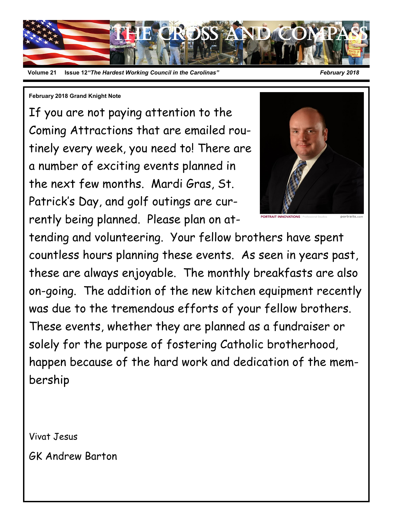

#### **12** *The Hardest Working Council in the Carolinas"* **February 2018**

#### **February 2018 Grand Knight Note**

If you are not paying attention to the Coming Attractions that are emailed routinely every week, you need to! There are a number of exciting events planned in the next few months. Mardi Gras, St. Patrick's Day, and golf outings are currently being planned. Please plan on at-



tending and volunteering. Your fellow brothers have spent countless hours planning these events. As seen in years past, these are always enjoyable. The monthly breakfasts are also on-going. The addition of the new kitchen equipment recently was due to the tremendous efforts of your fellow brothers. These events, whether they are planned as a fundraiser or solely for the purpose of fostering Catholic brotherhood, happen because of the hard work and dedication of the membership

Vivat Jesus

GK Andrew Barton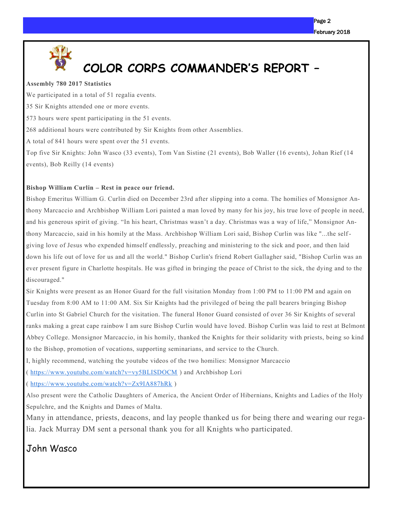

# **COLOR CORPS COMMANDER'S REPORT –**

#### **Assembly 780 2017 Statistics**

We participated in a total of 51 regalia events. 35 Sir Knights attended one or more events. 573 hours were spent participating in the 51 events. 268 additional hours were contributed by Sir Knights from other Assemblies. A total of 841 hours were spent over the 51 events. Top five Sir Knights: John Wasco (33 events), Tom Van Sistine (21 events), Bob Waller (16 events), Johan Rief (14 events), Bob Reilly (14 events)

#### **Bishop William Curlin – Rest in peace our friend.**

Bishop Emeritus William G. Curlin died on December 23rd after slipping into a coma. The homilies of Monsignor Anthony Marcaccio and Archbishop William Lori painted a man loved by many for his joy, his true love of people in need, and his generous spirit of giving. "In his heart, Christmas wasn't a day. Christmas was a way of life," Monsignor Anthony Marcaccio, said in his homily at the Mass. Archbishop William Lori said, Bishop Curlin was like "...the self giving love of Jesus who expended himself endlessly, preaching and ministering to the sick and poor, and then laid down his life out of love for us and all the world." Bishop Curlin's friend Robert Gallagher said, "Bishop Curlin was an ever present figure in Charlotte hospitals. He was gifted in bringing the peace of Christ to the sick, the dying and to the discouraged."

Sir Knights were present as an Honor Guard for the full visitation Monday from 1:00 PM to 11:00 PM and again on Tuesday from 8:00 AM to 11:00 AM. Six Sir Knights had the privileged of being the pall bearers bringing Bishop Curlin into St Gabriel Church for the visitation. The funeral Honor Guard consisted of over 36 Sir Knights of several ranks making a great cape rainbow I am sure Bishop Curlin would have loved. Bishop Curlin was laid to rest at Belmont Abbey College. Monsignor Marcaccio, in his homily, thanked the Knights for their solidarity with priests, being so kind to the Bishop, promotion of vocations, supporting seminarians, and service to the Church.

I, highly recommend, watching the youtube videos of the two homilies: Monsignor Marcaccio

<https://www.youtube.com/watch?v=vy5BLISDOCM>) and Archbishop Lori

( <https://www.youtube.com/watch?v=Zx9IA887hRk> )

Also present were the Catholic Daughters of America, the Ancient Order of Hibernians, Knights and Ladies of the Holy Sepulchre, and the Knights and Dames of Malta.

Many in attendance, priests, deacons, and lay people thanked us for being there and wearing our regalia. Jack Murray DM sent a personal thank you for all Knights who participated.

#### John Wasco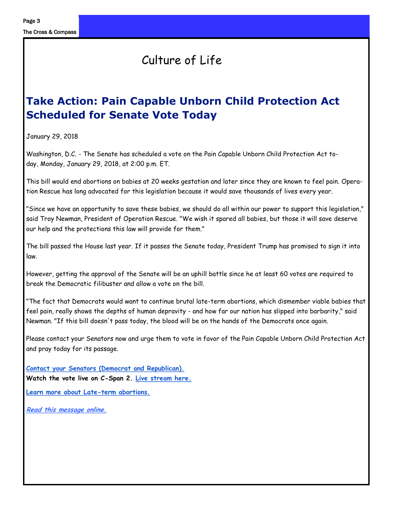Page 3

# Culture of Life

# **Take Action: Pain Capable Unborn Child Protection Act Scheduled for Senate Vote Today**

January 29, 2018

Washington, D.C. - The Senate has scheduled a vote on the Pain Capable Unborn Child Protection Act today, Monday, January 29, 2018, at 2:00 p.m. ET.

This bill would end abortions on babies at 20 weeks gestation and later since they are known to feel pain. Operation Rescue has long advocated for this legislation because it would save thousands of lives every year.

"Since we have an opportunity to save these babies, we should do all within our power to support this legislation," said Troy Newman, President of Operation Rescue. "We wish it spared all babies, but those it will save deserve our help and the protections this law will provide for them."

The bill passed the House last year. If it passes the Senate today, President Trump has promised to sign it into law.

However, getting the approval of the Senate will be an uphill battle since he at least 60 votes are required to break the Democratic filibuster and allow a vote on the bill.

"The fact that Democrats would want to continue brutal late-term abortions, which dismember viable babies that feel pain, really shows the depths of human depravity - and how far our nation has slipped into barbarity," said Newman. "If this bill doesn't pass today, the blood will be on the hands of the Democrats once again.

Please contact your Senators now and urge them to vote in favor of the Pain Capable Unborn Child Protection Act and pray today for its passage.

**[Contact your Senators \(Democrat and Republican\).](http://r20.rs6.net/tn.jsp?f=001ubgQQZfOIfBgDeZDYlkseW840QxUrBWORoKh0dK9sKTTXNfRhiMARdp-PvasyyzlJzwMBoz8zFXrMEMZWxsOgL8b9gBqbezYdyTliiyN_Cqjil0lYn-74i9Fy0eQNLiP86-aQQscV1X0c9F0yX_cDsBOqqlD0FmBGtaUkAAVoT0Kyrv4YlcFKn3aSwj_i0_7&c=v1AG-tYpxNxGdXgjtLuGkTEfJBGrVLIaB) Watch the vote live on C-Span 2. [Live stream here.](http://r20.rs6.net/tn.jsp?f=001ubgQQZfOIfBgDeZDYlkseW840QxUrBWORoKh0dK9sKTTXNfRhiMARdp-PvasyyzlZv3N6-EbfKS0nH57C0QTxnUbh5BZJnncB_We3TvZVGmVe9hN35_NAT_zrvcrTYJMak1bRqWUWIhreMKqsBflHFPQJPfCKQ5AutV5U33wbYuw9UpBuRE23qZBarwlBH8FGftLzxI-Z1wB0Y_sY9sQYQ==&c=v1AG-tYpx)**

**[Learn more about Late-term abortions.](http://r20.rs6.net/tn.jsp?f=001ubgQQZfOIfBgDeZDYlkseW840QxUrBWORoKh0dK9sKTTXNfRhiMARXdrIAeOZgRem9hmmbcTqE23T-0ycrsfq4yE8q0ec2sXPjxuGvAE2h7zKBL8pfqRAYO24AdkoxR-XtcxLwt08RykdzB7UC2Cf0NupJHyNX0gO2wyIbJ4iuZQQj0rpJDMFURtQg1Jheq75gOO-zKMLt-jQFW6zFhOHfGVRr62QdxvkCDW)**

**[Read this message online.](http://r20.rs6.net/tn.jsp?f=001ubgQQZfOIfBgDeZDYlkseW840QxUrBWORoKh0dK9sKTTXNfRhiMARdp-PvasyyzlMnT35Pft_QajR3o4V8TsWUg7AUZMV6YSlAMXzg2S0xwBPhoZNFAT5lR03dNwP3uLA_6EO9O1Z0CPy-f7GXrqxWFsn6WuW_Z1MfKi2p4TIEk1zokQvVSiOgyntGoSGS9yaBZnZBWoTlLONEICcfIbp69B49B6lbUV-50b)**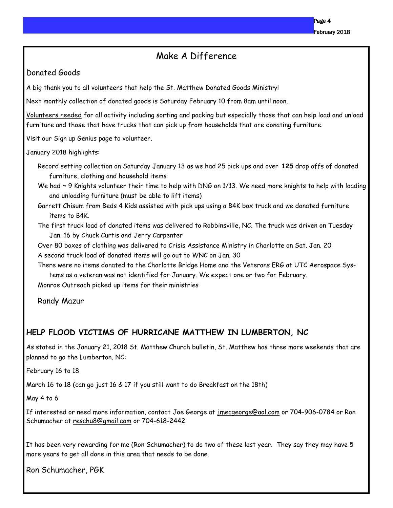#### Make A Difference

#### Donated Goods

A big thank you to all volunteers that help the St. Matthew Donated Goods Ministry!

Next monthly collection of donated goods is Saturday February 10 from 8am until noon.

Volunteers needed for all activity including sorting and packing but especially those that can help load and unload furniture and those that have trucks that can pick up from households that are donating furniture.

Visit our Sign up Genius page to volunteer.

January 2018 highlights:

Record setting collection on Saturday January 13 as we had 25 pick ups and over **125** drop offs of donated furniture, clothing and household items

We had  $\sim$  9 Knights volunteer their time to help with DNG on 1/13. We need more knights to help with loading and unloading furniture (must be able to lift items)

Garrett Chisum from Beds 4 Kids assisted with pick ups using a B4K box truck and we donated furniture items to B4K.

The first truck load of donated items was delivered to Robbinsville, NC. The truck was driven on Tuesday Jan. 16 by Chuck Curtis and Jerry Carpenter

Over 80 boxes of clothing was delivered to Crisis Assistance Ministry in Charlotte on Sat. Jan. 20

A second truck load of donated items will go out to WNC on Jan. 30

There were no items donated to the Charlotte Bridge Home and the Veterans ERG at UTC Aerospace Systems as a veteran was not identified for January. We expect one or two for February.

Monroe Outreach picked up items for their ministries

Randy Mazur

#### **HELP FLOOD VICTIMS OF HURRICANE MATTHEW IN LUMBERTON, NC**

As stated in the January 21, 2018 St. Matthew Church bulletin, St. Matthew has three more weekends that are planned to go the Lumberton, NC:

February 16 to 18

March 16 to 18 (can go just 16 & 17 if you still want to do Breakfast on the 18th)

May 4 to 6

If interested or need more information, contact Joe George at imecgeorge@aol.com or 704-906-0784 or Ron Schumacher at [reschu8@gmail.com](mailto:reschu8@gmail.com) or 704-618-2442.

It has been very rewarding for me (Ron Schumacher) to do two of these last year. They say they may have 5 more years to get all done in this area that needs to be done.

Ron Schumacher, PGK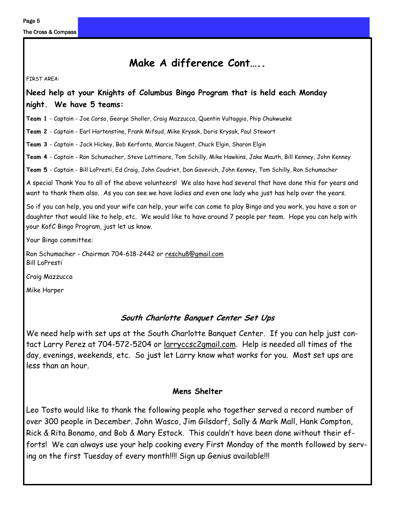The Cross & Compass

## **Make A difference Cont…..**

FIRST AREA:

#### **Need help at your Knights of Columbus Bingo Program that is held each Monday night. We have 5 teams:**

**Team 1** - Captain - Joe Corso, George Sholler, Craig Mazzucca, Quentin Vultaggio, Phip Chukwueke

**Team 2** - Captain - Earl Hartenstine, Frank Mifsud, Mike Krysak, Doris Krysak, Paul Stewart

**Team 3** - Captain - Jack Hickey, Bob Kerfonta, Marcie Nugent, Chuck Elgin, Sharon Elgin

**Team 4** - Captain - Ron Schumacher, Steve Lattimore, Tom Schilly, Mike Hawkins, Jake Mauth, Bill Kenney, John Kenney

**Team 5** - Captain - Bill LoPresti, Ed Craig, John Coudriet, Don Gavevich, John Kenney, Tom Schilly, Ron Schumacher

A special Thank You to all of the above volunteers! We also have had several that have done this for years and want to thank them also. As you can see we have ladies and even one lady who just has help over the years.

So if you can help, you and your wife can help, your wife can come to play Bingo and you work, you have a son or daughter that would like to help, etc. We would like to have around 7 people per team. Hope you can help with your KofC Bingo Program, just let us know.

Your Bingo committee:

Ron Schumacher - Chairman 704-618-2442 or [reschu8@gmail.com](mailto:reschu8@gmail.com) Bill LoPresti

Craig Mazzucca

Mike Harper

#### **South Charlotte Banquet Center Set Ups**

We need help with set ups at the South Charlotte Banquet Center. If you can help just contact Larry Perez at 704-572-5204 or [larryccsc2gmail.com.](http://larryccsc2gmail.com) Help is needed all times of the day, evenings, weekends, etc. So just let Larry know what works for you. Most set ups are less than an hour.

#### **Mens Shelter**

Leo Tosto would like to thank the following people who together served a record number of over 300 people in December. John Wasco, Jim Gilsdorf, Sally & Mark Mall, Hank Compton, Rick & Rita Bonamo, and Bob & Mary Estock. This couldn't have been done without their efforts! We can always use your help cooking every First Monday of the month followed by serving on the first Tuesday of every month!!!! Sign up Genius available!!!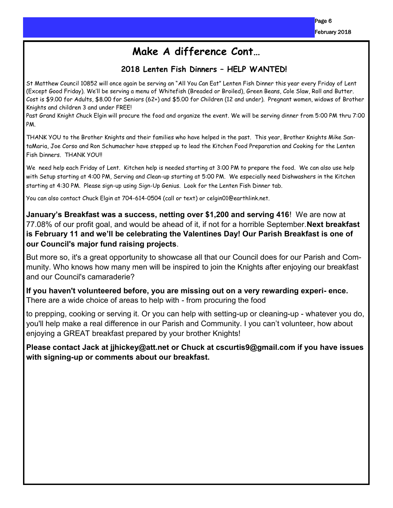## **Make A difference Cont…**

#### **2018 Lenten Fish Dinners – HELP WANTED!**

St Matthew Council 10852 will once again be serving an "All You Can Eat" Lenten Fish Dinner this year every Friday of Lent (Except Good Friday). We'll be serving a menu of Whitefish (Breaded or Broiled), Green Beans, Cole Slaw, Roll and Butter. Cost is \$9.00 for Adults, \$8.00 for Seniors (62+) and \$5.00 for Children (12 and under). Pregnant women, widows of Brother Knights and children 3 and under FREE!

Past Grand Knight Chuck Elgin will procure the food and organize the event. We will be serving dinner from 5:00 PM thru 7:00 PM.

THANK YOU to the Brother Knights and their families who have helped in the past. This year, Brother Knights Mike SantaMaria, Joe Corso and Ron Schumacher have stepped up to lead the Kitchen Food Preparation and Cooking for the Lenten Fish Dinners. THANK YOU!!

We need help each Friday of Lent. Kitchen help is needed starting at 3:00 PM to prepare the food. We can also use help with Setup starting at 4:00 PM, Serving and Clean-up starting at 5:00 PM. We especially need Dishwashers in the Kitchen starting at 4:30 PM. Please sign-up using Sign-Up Genius. Look for the Lenten Fish Dinner tab.

You can also contact Chuck Elgin at 704-614-0504 (call or text) or celgin01@earthlink.net.

**January's Breakfast was a success, netting over \$1,200 and serving 416**! We are now at 77.08% of our profit goal, and would be ahead of it, if not for a horrible September.**Next breakfast is February 11 and we'll be celebrating the Valentines Day! Our Parish Breakfast is one of our Council's major fund raising projects**.

But more so, it's a great opportunity to showcase all that our Council does for our Parish and Community. Who knows how many men will be inspired to join the Knights after enjoying our breakfast and our Council's camaraderie?

**If you haven't volunteered before, you are missing out on a very rewarding experi- ence.**  There are a wide choice of areas to help with - from procuring the food

to prepping, cooking or serving it. Or you can help with setting-up or cleaning-up - whatever you do, you'll help make a real difference in our Parish and Community. I you can't volunteer, how about enjoying a GREAT breakfast prepared by your brother Knights!

**Please contact Jack at jjhickey@att.net or Chuck at cscurtis9@gmail.com if you have issues with signing-up or comments about our breakfast.**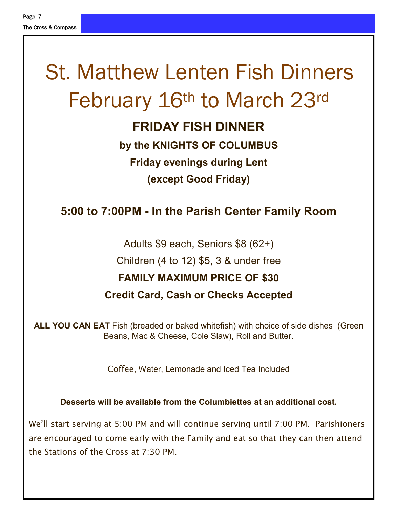# St. Matthew Lenten Fish Dinners February 16th to March 23rd

# **FRIDAY FISH DINNER**

# **by the KNIGHTS OF COLUMBUS Friday evenings during Lent (except Good Friday)**

# **5:00 to 7:00PM - In the Parish Center Family Room**

Adults \$9 each, Seniors \$8 (62+) Children (4 to 12) \$5, 3 & under free **FAMILY MAXIMUM PRICE OF \$30 Credit Card, Cash or Checks Accepted**

**ALL YOU CAN EAT** Fish (breaded or baked whitefish) with choice of side dishes (Green Beans, Mac & Cheese, Cole Slaw), Roll and Butter.

Coffee, Water, Lemonade and Iced Tea Included

**Desserts will be available from the Columbiettes at an additional cost.**

We'll start serving at 5:00 PM and will continue serving until 7:00 PM. Parishioners are encouraged to come early with the Family and eat so that they can then attend the Stations of the Cross at 7:30 PM.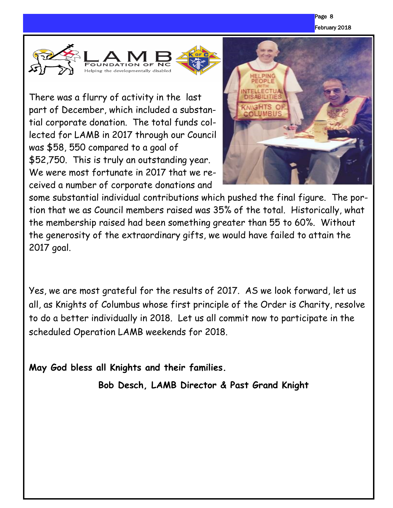





There was a flurry of activity in the last part of December, which included a substantial corporate donation. The total funds collected for LAMB in 2017 through our Council was \$58, 550 compared to a goal of \$52,750. This is truly an outstanding year. We were most fortunate in 2017 that we received a number of corporate donations and



some substantial individual contributions which pushed the final figure. The portion that we as Council members raised was 35% of the total. Historically, what the membership raised had been something greater than 55 to 60%. Without the generosity of the extraordinary gifts, we would have failed to attain the 2017 goal.

Yes, we are most grateful for the results of 2017. AS we look forward, let us all, as Knights of Columbus whose first principle of the Order is Charity, resolve to do a better individually in 2018. Let us all commit now to participate in the scheduled Operation LAMB weekends for 2018.

**May God bless all Knights and their families.**

**Bob Desch, LAMB Director & Past Grand Knight**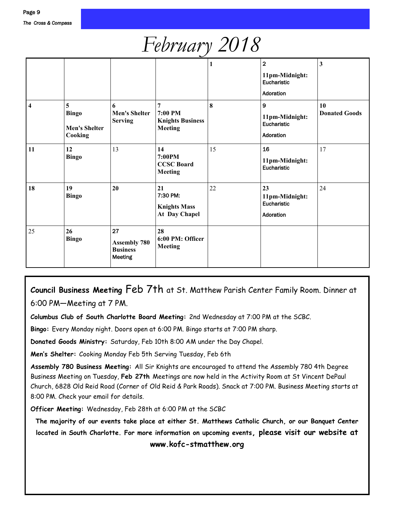# *February 2018*

|    |                                                      |                                                                |                                                                        | 1  | $\overline{2}$<br>11pm-Midnight:<br>Eucharistic<br>Adoration   | 3                          |
|----|------------------------------------------------------|----------------------------------------------------------------|------------------------------------------------------------------------|----|----------------------------------------------------------------|----------------------------|
| 4  | 5<br><b>Bingo</b><br><b>Men's Shelter</b><br>Cooking | 6<br><b>Men's Shelter</b><br><b>Serving</b>                    | $\overline{7}$<br>7:00 PM<br><b>Knights Business</b><br><b>Meeting</b> | 8  | $\boldsymbol{9}$<br>11pm-Midnight:<br>Eucharistic<br>Adoration | 10<br><b>Donated Goods</b> |
| 11 | 12<br><b>Bingo</b>                                   | 13                                                             | 14<br>7:00PM<br><b>CCSC Board</b><br><b>Meeting</b>                    | 15 | 16<br>11pm-Midnight:<br>Eucharistic                            | 17                         |
| 18 | 19<br><b>Bingo</b>                                   | 20                                                             | 21<br>7:30 PM:<br><b>Knights Mass</b><br>At Day Chapel                 | 22 | 23<br>11pm-Midnight:<br>Eucharistic<br>Adoration               | 24                         |
| 25 | 26<br><b>Bingo</b>                                   | 27<br><b>Assembly 780</b><br><b>Business</b><br><b>Meeting</b> | 28<br>6:00 PM: Officer<br><b>Meeting</b>                               |    |                                                                |                            |

### **Council Business Meeting** Feb 7th at St. Matthew Parish Center Family Room. Dinner at 6:00 PM—Meeting at 7 PM.

**Columbus Club of South Charlotte Board Meeting:** 2nd Wednesday at 7:00 PM at the SCBC.

**Bingo:** Every Monday night. Doors open at 6:00 PM. Bingo starts at 7:00 PM sharp.

**Donated Goods Ministry:** Saturday, Feb 10th 8:00 AM under the Day Chapel.

**Men's Shelter:** Cooking Monday Feb 5th Serving Tuesday, Feb 6th

**Assembly 780 Business Meeting:** All Sir Knights are encouraged to attend the Assembly 780 4th Degree Business Meeting on Tuesday, **Feb 27th** Meetings are now held in the Activity Room at St Vincent DePaul Church, 6828 Old Reid Road (Corner of Old Reid & Park Roads). Snack at 7:00 PM. Business Meeting starts at 8:00 PM. Check your email for details.

**Officer Meeting:** Wednesday, Feb 28th at 6:00 PM at the SCBC

**The majority of our events take place at either St. Matthews Catholic Church, or our Banquet Center located in South Charlotte. For more information on upcoming events, please visit our website at** 

**www.kofc-stmatthew.org**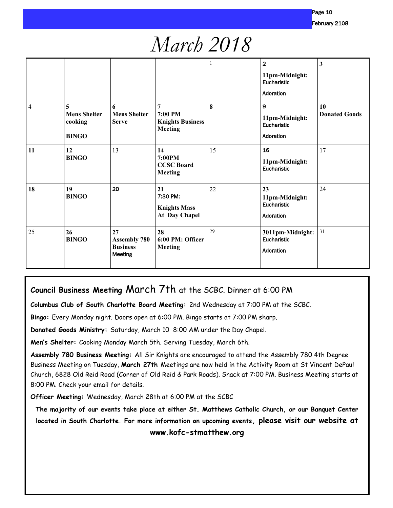# *March 2018*

|                |                                                     |                                                         |                                                           |    | $\overline{2}$<br>11pm-Midnight:<br>Eucharistic<br>Adoration | $\mathbf{3}$               |
|----------------|-----------------------------------------------------|---------------------------------------------------------|-----------------------------------------------------------|----|--------------------------------------------------------------|----------------------------|
| $\overline{4}$ | 5<br><b>Mens Shelter</b><br>cooking<br><b>BINGO</b> | 6<br><b>Mens Shelter</b><br><b>Serve</b>                | 7<br>7:00 PM<br><b>Knights Business</b><br><b>Meeting</b> | 8  | $\mathbf{9}$<br>11pm-Midnight:<br>Eucharistic<br>Adoration   | 10<br><b>Donated Goods</b> |
| 11             | 12<br><b>BINGO</b>                                  | 13                                                      | 14<br>7:00PM<br><b>CCSC Board</b><br><b>Meeting</b>       | 15 | 16<br>11pm-Midnight:<br>Eucharistic                          | 17                         |
| 18             | 19<br><b>BINGO</b>                                  | 20                                                      | 21<br>7:30 PM:<br><b>Knights Mass</b><br>At Day Chapel    | 22 | 23<br>11pm-Midnight:<br>Eucharistic<br>Adoration             | 24                         |
| 25             | 26<br><b>BINGO</b>                                  | 27<br><b>Assembly 780</b><br><b>Business</b><br>Meeting | 28<br>6:00 PM: Officer<br><b>Meeting</b>                  | 29 | 3011pm-Midnight:<br>Eucharistic<br>Adoration                 | 31                         |

#### **Council Business Meeting** March 7th at the SCBC. Dinner at 6:00 PM

**Columbus Club of South Charlotte Board Meeting:** 2nd Wednesday at 7:00 PM at the SCBC.

**Bingo:** Every Monday night. Doors open at 6:00 PM. Bingo starts at 7:00 PM sharp.

**Donated Goods Ministry:** Saturday, March 10 8:00 AM under the Day Chapel.

**Men's Shelter:** Cooking Monday March 5th. Serving Tuesday, March 6th.

**Assembly 780 Business Meeting:** All Sir Knights are encouraged to attend the Assembly 780 4th Degree Business Meeting on Tuesday, **March 27th** Meetings are now held in the Activity Room at St Vincent DePaul Church, 6828 Old Reid Road (Corner of Old Reid & Park Roads). Snack at 7:00 PM. Business Meeting starts at 8:00 PM. Check your email for details.

**Officer Meeting:** Wednesday, March 28th at 6:00 PM at the SCBC

**The majority of our events take place at either St. Matthews Catholic Church, or our Banquet Center located in South Charlotte. For more information on upcoming events, please visit our website at** 

**www.kofc-stmatthew.org**